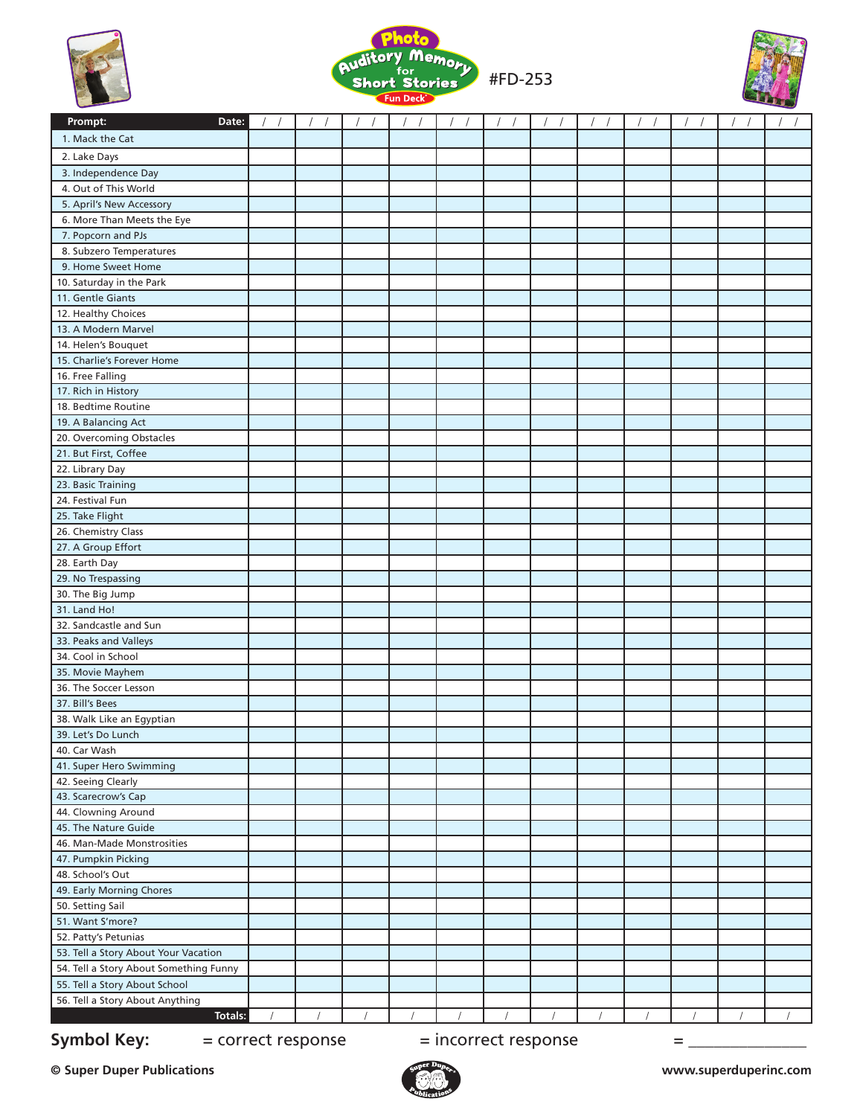





| Prompt:<br>Date:                       |  |  |  |  |  |            |
|----------------------------------------|--|--|--|--|--|------------|
| 1. Mack the Cat                        |  |  |  |  |  |            |
| 2. Lake Days                           |  |  |  |  |  |            |
| 3. Independence Day                    |  |  |  |  |  |            |
| 4. Out of This World                   |  |  |  |  |  |            |
| 5. April's New Accessory               |  |  |  |  |  |            |
| 6. More Than Meets the Eye             |  |  |  |  |  |            |
| 7. Popcorn and PJs                     |  |  |  |  |  |            |
| 8. Subzero Temperatures                |  |  |  |  |  |            |
| 9. Home Sweet Home                     |  |  |  |  |  |            |
| 10. Saturday in the Park               |  |  |  |  |  |            |
| 11. Gentle Giants                      |  |  |  |  |  |            |
| 12. Healthy Choices                    |  |  |  |  |  |            |
| 13. A Modern Marvel                    |  |  |  |  |  |            |
| 14. Helen's Bouquet                    |  |  |  |  |  |            |
| 15. Charlie's Forever Home             |  |  |  |  |  |            |
| 16. Free Falling                       |  |  |  |  |  |            |
| 17. Rich in History                    |  |  |  |  |  |            |
| 18. Bedtime Routine                    |  |  |  |  |  |            |
| 19. A Balancing Act                    |  |  |  |  |  |            |
| 20. Overcoming Obstacles               |  |  |  |  |  |            |
| 21. But First, Coffee                  |  |  |  |  |  |            |
| 22. Library Day                        |  |  |  |  |  |            |
| 23. Basic Training                     |  |  |  |  |  |            |
| 24. Festival Fun                       |  |  |  |  |  |            |
| 25. Take Flight                        |  |  |  |  |  |            |
| 26. Chemistry Class                    |  |  |  |  |  |            |
| 27. A Group Effort                     |  |  |  |  |  |            |
| 28. Earth Day                          |  |  |  |  |  |            |
| 29. No Trespassing                     |  |  |  |  |  |            |
| 30. The Big Jump                       |  |  |  |  |  |            |
| 31. Land Ho!                           |  |  |  |  |  |            |
| 32. Sandcastle and Sun                 |  |  |  |  |  |            |
| 33. Peaks and Valleys                  |  |  |  |  |  |            |
| 34. Cool in School                     |  |  |  |  |  |            |
| 35. Movie Mayhem                       |  |  |  |  |  |            |
| 36. The Soccer Lesson                  |  |  |  |  |  |            |
| 37. Bill's Bees                        |  |  |  |  |  |            |
| 38. Walk Like an Egyptian              |  |  |  |  |  |            |
| 39. Let's Do Lunch                     |  |  |  |  |  |            |
| 40. Car Wash                           |  |  |  |  |  |            |
| 41. Super Hero Swimming                |  |  |  |  |  |            |
| 42. Seeing Clearly                     |  |  |  |  |  |            |
| 43. Scarecrow's Cap                    |  |  |  |  |  |            |
| 44. Clowning Around                    |  |  |  |  |  |            |
| 45. The Nature Guide                   |  |  |  |  |  |            |
| 46. Man-Made Monstrosities             |  |  |  |  |  |            |
| 47. Pumpkin Picking                    |  |  |  |  |  |            |
| 48. School's Out                       |  |  |  |  |  |            |
| 49. Early Morning Chores               |  |  |  |  |  |            |
| 50. Setting Sail                       |  |  |  |  |  |            |
| 51. Want S'more?                       |  |  |  |  |  |            |
| 52. Patty's Petunias                   |  |  |  |  |  |            |
| 53. Tell a Story About Your Vacation   |  |  |  |  |  |            |
| 54. Tell a Story About Something Funny |  |  |  |  |  |            |
| 55. Tell a Story About School          |  |  |  |  |  |            |
| 56. Tell a Story About Anything        |  |  |  |  |  |            |
| Totals:                                |  |  |  |  |  | $\sqrt{2}$ |

**Symbol Key:**  $=$  correct response  $=$  incorrect response  $=$   $=$